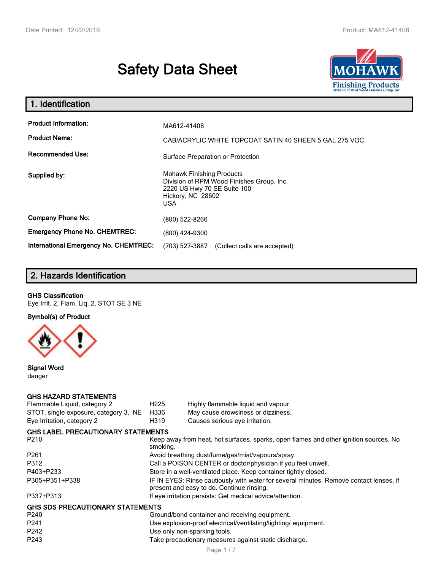# **Safety Data Sheet**



| 1. Identification                                   |                                                                                                                                          |  |
|-----------------------------------------------------|------------------------------------------------------------------------------------------------------------------------------------------|--|
| <b>Product Information:</b><br><b>Product Name:</b> | MA612-41408<br>CAB/ACRYLIC WHITE TOPCOAT SATIN 40 SHEEN 5 GAL 275 VOC                                                                    |  |
| <b>Recommended Use:</b>                             | Surface Preparation or Protection                                                                                                        |  |
| Supplied by:                                        | <b>Mohawk Finishing Products</b><br>Division of RPM Wood Finishes Group, Inc.<br>2220 US Hwy 70 SE Suite 100<br>Hickory, NC 28602<br>USA |  |
| <b>Company Phone No:</b>                            | (800) 522-8266                                                                                                                           |  |
| <b>Emergency Phone No. CHEMTREC:</b>                | (800) 424-9300                                                                                                                           |  |
| International Emergency No. CHEMTREC:               | (703) 527-3887<br>(Collect calls are accepted)                                                                                           |  |

# **2. Hazards Identification**

#### **GHS Classification**

Eye Irrit. 2, Flam. Liq. 2, STOT SE 3 NE

**Symbol(s) of Product**



**Signal Word** danger

#### **GHS HAZARD STATEMENTS**

| Flammable Liquid, category 2              | H <sub>225</sub>                                                                                                                    | Highly flammable liquid and vapour. |  |
|-------------------------------------------|-------------------------------------------------------------------------------------------------------------------------------------|-------------------------------------|--|
| STOT, single exposure, category 3, NE     | H336                                                                                                                                | May cause drowsiness or dizziness.  |  |
| Eye Irritation, category 2                | H319                                                                                                                                | Causes serious eye irritation.      |  |
| <b>GHS LABEL PRECAUTIONARY STATEMENTS</b> |                                                                                                                                     |                                     |  |
| P <sub>210</sub>                          | Keep away from heat, hot surfaces, sparks, open flames and other ignition sources. No<br>smoking.                                   |                                     |  |
| P <sub>261</sub>                          | Avoid breathing dust/fume/gas/mist/vapours/spray.                                                                                   |                                     |  |
| P312                                      | Call a POISON CENTER or doctor/physician if you feel unwell.                                                                        |                                     |  |
| P403+P233                                 | Store in a well-ventilated place. Keep container tightly closed.                                                                    |                                     |  |
| P305+P351+P338                            | IF IN EYES: Rinse cautiously with water for several minutes. Remove contact lenses, if<br>present and easy to do. Continue rinsing. |                                     |  |
| P337+P313                                 | If eye irritation persists: Get medical advice/attention.                                                                           |                                     |  |
| <b>GHS SDS PRECAUTIONARY STATEMENTS</b>   |                                                                                                                                     |                                     |  |
| P <sub>240</sub>                          | Ground/bond container and receiving equipment.                                                                                      |                                     |  |
| P <sub>241</sub>                          | Use explosion-proof electrical/ventilating/lighting/equipment.                                                                      |                                     |  |
| P242                                      | Use only non-sparking tools.                                                                                                        |                                     |  |
| P <sub>243</sub>                          | Take precautionary measures against static discharge.                                                                               |                                     |  |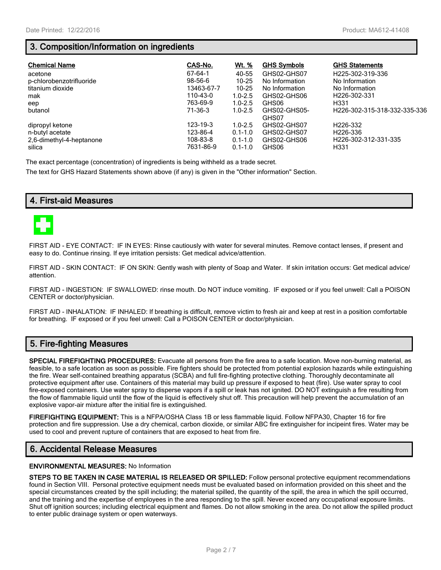## **3. Composition/Information on ingredients**

| <b>Chemical Name</b>               | CAS-No.               | <u>Wt. %</u>               | <b>GHS Symbols</b>    | <b>GHS Statements</b>                    |
|------------------------------------|-----------------------|----------------------------|-----------------------|------------------------------------------|
| acetone                            | 67-64-1               | 40-55                      | GHS02-GHS07           | H225-302-319-336                         |
| p-chlorobenzotrifluoride           | $98 - 56 - 6$         | $10 - 25$                  | No Information        | No Information                           |
| titanium dioxide                   | 13463-67-7            | $10 - 25$                  | No Information        | No Information                           |
| mak                                | 110-43-0              | $1.0 - 2.5$                | GHS02-GHS06           | H <sub>226</sub> -302-331                |
| eep                                | 763-69-9              | $1.0 - 2.5$                | GHS06                 | H <sub>331</sub>                         |
| butanol                            | 71-36-3               | $1.0 - 2.5$                | GHS02-GHS05-<br>GHS07 | H226-302-315-318-332-335-336             |
| dipropyl ketone                    | 123-19-3              | $1.0 - 2.5$                | GHS02-GHS07           | H <sub>226</sub> -332                    |
| n-butyl acetate                    | 123-86-4              | $0.1 - 1.0$                | GHS02-GHS07           | H <sub>226</sub> -336                    |
| 2,6-dimethyl-4-heptanone<br>silica | 108-83-8<br>7631-86-9 | $0.1 - 1.0$<br>$0.1 - 1.0$ | GHS02-GHS06<br>GHS06  | H226-302-312-331-335<br>H <sub>331</sub> |

The exact percentage (concentration) of ingredients is being withheld as a trade secret.

The text for GHS Hazard Statements shown above (if any) is given in the "Other information" Section.

## **4. First-aid Measures**



FIRST AID - EYE CONTACT: IF IN EYES: Rinse cautiously with water for several minutes. Remove contact lenses, if present and easy to do. Continue rinsing. If eye irritation persists: Get medical advice/attention.

FIRST AID - SKIN CONTACT: IF ON SKIN: Gently wash with plenty of Soap and Water. If skin irritation occurs: Get medical advice/ attention.

FIRST AID - INGESTION: IF SWALLOWED: rinse mouth. Do NOT induce vomiting. IF exposed or if you feel unwell: Call a POISON CENTER or doctor/physician.

FIRST AID - INHALATION: IF INHALED: If breathing is difficult, remove victim to fresh air and keep at rest in a position comfortable for breathing. IF exposed or if you feel unwell: Call a POISON CENTER or doctor/physician.

## **5. Fire-fighting Measures**

**SPECIAL FIREFIGHTING PROCEDURES:** Evacuate all persons from the fire area to a safe location. Move non-burning material, as feasible, to a safe location as soon as possible. Fire fighters should be protected from potential explosion hazards while extinguishing the fire. Wear self-contained breathing apparatus (SCBA) and full fire-fighting protective clothing. Thoroughly decontaminate all protective equipment after use. Containers of this material may build up pressure if exposed to heat (fire). Use water spray to cool fire-exposed containers. Use water spray to disperse vapors if a spill or leak has not ignited. DO NOT extinguish a fire resulting from the flow of flammable liquid until the flow of the liquid is effectively shut off. This precaution will help prevent the accumulation of an explosive vapor-air mixture after the initial fire is extinguished.

**FIREFIGHTING EQUIPMENT:** This is a NFPA/OSHA Class 1B or less flammable liquid. Follow NFPA30, Chapter 16 for fire protection and fire suppression. Use a dry chemical, carbon dioxide, or similar ABC fire extinguisher for incipeint fires. Water may be used to cool and prevent rupture of containers that are exposed to heat from fire.

## **6. Accidental Release Measures**

#### **ENVIRONMENTAL MEASURES:** No Information

**STEPS TO BE TAKEN IN CASE MATERIAL IS RELEASED OR SPILLED:** Follow personal protective equipment recommendations found in Section VIII. Personal protective equipment needs must be evaluated based on information provided on this sheet and the special circumstances created by the spill including; the material spilled, the quantity of the spill, the area in which the spill occurred, and the training and the expertise of employees in the area responding to the spill. Never exceed any occupational exposure limits. Shut off ignition sources; including electrical equipment and flames. Do not allow smoking in the area. Do not allow the spilled product to enter public drainage system or open waterways.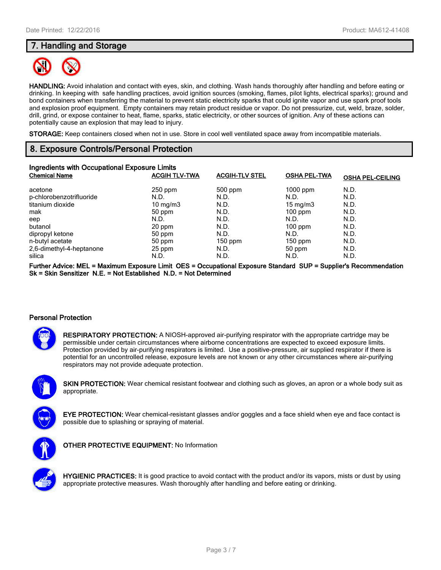## **7. Handling and Storage**



**HANDLING:** Avoid inhalation and contact with eyes, skin, and clothing. Wash hands thoroughly after handling and before eating or drinking. In keeping with safe handling practices, avoid ignition sources (smoking, flames, pilot lights, electrical sparks); ground and bond containers when transferring the material to prevent static electricity sparks that could ignite vapor and use spark proof tools and explosion proof equipment. Empty containers may retain product residue or vapor. Do not pressurize, cut, weld, braze, solder, drill, grind, or expose container to heat, flame, sparks, static electricity, or other sources of ignition. Any of these actions can potentially cause an explosion that may lead to injury.

**STORAGE:** Keep containers closed when not in use. Store in cool well ventilated space away from incompatible materials.

## **8. Exposure Controls/Personal Protection**

| Ingredients with Occupational Exposure Limits |                      |                       |                     |                         |
|-----------------------------------------------|----------------------|-----------------------|---------------------|-------------------------|
| <b>Chemical Name</b>                          | <b>ACGIH TLV-TWA</b> | <b>ACGIH-TLV STEL</b> | <b>OSHA PEL-TWA</b> | <b>OSHA PEL-CEILING</b> |
| acetone                                       | $250$ ppm            | 500 ppm               | $1000$ ppm          | N.D.                    |
| p-chlorobenzotrifluoride                      | N.D.                 | N.D.                  | N.D.                | N.D.                    |
| titanium dioxide                              | $10 \text{ mg/m}$    | N.D.                  | $15 \text{ mg/m}$   | N.D.                    |
| mak                                           | 50 ppm               | N.D.                  | $100$ ppm           | N.D.                    |
| eep                                           | N.D.                 | N.D.                  | N.D.                | N.D.                    |
| butanol                                       | 20 ppm               | N.D.                  | $100$ ppm           | N.D.                    |
| dipropyl ketone                               | 50 ppm               | N.D.                  | N.D.                | N.D.                    |
| n-butyl acetate                               | 50 ppm               | $150$ ppm             | $150$ ppm           | N.D.                    |
| 2,6-dimethyl-4-heptanone                      | 25 ppm               | N.D.                  | 50 ppm              | N.D.                    |
| silica                                        | N.D.                 | N.D.                  | N.D.                | N.D.                    |

**Further Advice: MEL = Maximum Exposure Limit OES = Occupational Exposure Standard SUP = Supplier's Recommendation Sk = Skin Sensitizer N.E. = Not Established N.D. = Not Determined**

#### **Personal Protection**



**RESPIRATORY PROTECTION:** A NIOSH-approved air-purifying respirator with the appropriate cartridge may be permissible under certain circumstances where airborne concentrations are expected to exceed exposure limits. Protection provided by air-purifying respirators is limited. Use a positive-pressure, air supplied respirator if there is potential for an uncontrolled release, exposure levels are not known or any other circumstances where air-purifying respirators may not provide adequate protection.



**SKIN PROTECTION:** Wear chemical resistant footwear and clothing such as gloves, an apron or a whole body suit as appropriate.



**EYE PROTECTION:** Wear chemical-resistant glasses and/or goggles and a face shield when eye and face contact is possible due to splashing or spraying of material.



**OTHER PROTECTIVE EQUIPMENT:** No Information



**HYGIENIC PRACTICES:** It is good practice to avoid contact with the product and/or its vapors, mists or dust by using appropriate protective measures. Wash thoroughly after handling and before eating or drinking.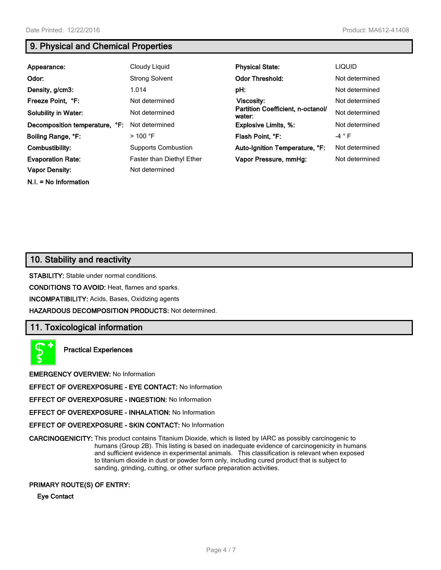## **9. Physical and Chemical Properties**

| Appearance:                    | Cloudy Liquid              | <b>Physical State:</b>                      | <b>LIQUID</b>  |
|--------------------------------|----------------------------|---------------------------------------------|----------------|
| Odor:                          | <b>Strong Solvent</b>      | <b>Odor Threshold:</b>                      | Not determined |
| Density, g/cm3:                | 1.014                      | pH:                                         | Not determined |
| Freeze Point, °F:              | Not determined             | <b>Viscosity:</b>                           | Not determined |
| <b>Solubility in Water:</b>    | Not determined             | Partition Coefficient, n-octanol/<br>water: | Not determined |
| Decomposition temperature, °F: | Not determined             | <b>Explosive Limits, %:</b>                 | Not determined |
| Boiling Range, °F:             | $>$ 100 °F                 | Flash Point, °F:                            | $-4$ $\circ$ F |
| Combustibility:                | <b>Supports Combustion</b> | Auto-Ignition Temperature, °F:              | Not determined |
| <b>Evaporation Rate:</b>       | Faster than Diethyl Ether  | Vapor Pressure, mmHg:                       | Not determined |
| <b>Vapor Density:</b>          | Not determined             |                                             |                |
| $N.I. = No Information$        |                            |                                             |                |

## **10. Stability and reactivity**

**STABILITY:** Stable under normal conditions.

**CONDITIONS TO AVOID:** Heat, flames and sparks.

**INCOMPATIBILITY:** Acids, Bases, Oxidizing agents

**HAZARDOUS DECOMPOSITION PRODUCTS:** Not determined.

## **11. Toxicological information**



**Practical Experiences**

**EMERGENCY OVERVIEW:** No Information

**EFFECT OF OVEREXPOSURE - EYE CONTACT:** No Information

**EFFECT OF OVEREXPOSURE - INGESTION:** No Information

**EFFECT OF OVEREXPOSURE - INHALATION:** No Information

**EFFECT OF OVEREXPOSURE - SKIN CONTACT:** No Information

**CARCINOGENICITY:** This product contains Titanium Dioxide, which is listed by IARC as possibly carcinogenic to humans (Group 2B). This listing is based on inadequate evidence of carcinogenicity in humans and sufficient evidence in experimental animals. This classification is relevant when exposed to titanium dioxide in dust or powder form only, including cured product that is subject to sanding, grinding, cutting, or other surface preparation activities.

#### **PRIMARY ROUTE(S) OF ENTRY:**

**Eye Contact**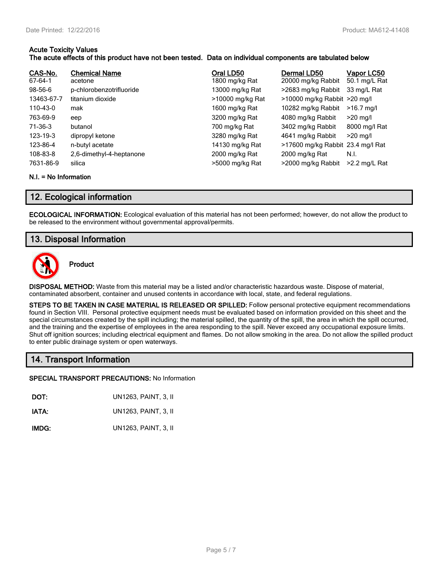#### **Acute Toxicity Values The acute effects of this product have not been tested. Data on individual components are tabulated below**

| CAS-No.<br>67-64-1 | <b>Chemical Name</b><br>acetone | Oral LD50<br>1800 mg/kg Rat | Dermal LD50<br>20000 mg/kg Rabbit | Vapor LC50<br>50.1 mg/L Rat |
|--------------------|---------------------------------|-----------------------------|-----------------------------------|-----------------------------|
| 98-56-6            | p-chlorobenzotrifluoride        | 13000 mg/kg Rat             | >2683 mg/kg Rabbit                | 33 mg/L Rat                 |
| 13463-67-7         | titanium dioxide                | >10000 mg/kg Rat            | >10000 mg/kg Rabbit >20 mg/l      |                             |
| 110-43-0           | mak                             | 1600 mg/kg Rat              | 10282 mg/kg Rabbit                | $>16.7$ mg/l                |
| 763-69-9           | eep                             | 3200 mg/kg Rat              | 4080 mg/kg Rabbit                 | $>20$ mg/l                  |
| 71-36-3            | butanol                         | 700 mg/kg Rat               | 3402 mg/kg Rabbit                 | 8000 mg/l Rat               |
| 123-19-3           | dipropyl ketone                 | 3280 mg/kg Rat              | 4641 mg/kg Rabbit                 | $>20$ mg/l                  |
| 123-86-4           | n-butyl acetate                 | 14130 mg/kg Rat             | >17600 mg/kg Rabbit 23.4 mg/l Rat |                             |
| 108-83-8           | 2,6-dimethyl-4-heptanone        | 2000 mg/kg Rat              | 2000 mg/kg Rat                    | N.I.                        |
| 7631-86-9          | silica                          | >5000 mg/kg Rat             | >2000 mg/kg Rabbit                | $>2.2$ mg/L Rat             |

#### **N.I. = No Information**

## **12. Ecological information**

**ECOLOGICAL INFORMATION:** Ecological evaluation of this material has not been performed; however, do not allow the product to be released to the environment without governmental approval/permits.

## **13. Disposal Information**



**Product**

**DISPOSAL METHOD:** Waste from this material may be a listed and/or characteristic hazardous waste. Dispose of material, contaminated absorbent, container and unused contents in accordance with local, state, and federal regulations.

**STEPS TO BE TAKEN IN CASE MATERIAL IS RELEASED OR SPILLED:** Follow personal protective equipment recommendations found in Section VIII. Personal protective equipment needs must be evaluated based on information provided on this sheet and the special circumstances created by the spill including; the material spilled, the quantity of the spill, the area in which the spill occurred, and the training and the expertise of employees in the area responding to the spill. Never exceed any occupational exposure limits. Shut off ignition sources; including electrical equipment and flames. Do not allow smoking in the area. Do not allow the spilled product to enter public drainage system or open waterways.

## **14. Transport Information**

#### **SPECIAL TRANSPORT PRECAUTIONS:** No Information

**DOT:** UN1263, PAINT, 3, II

**IATA:** UN1263, PAINT, 3, II

**IMDG:** UN1263, PAINT, 3, II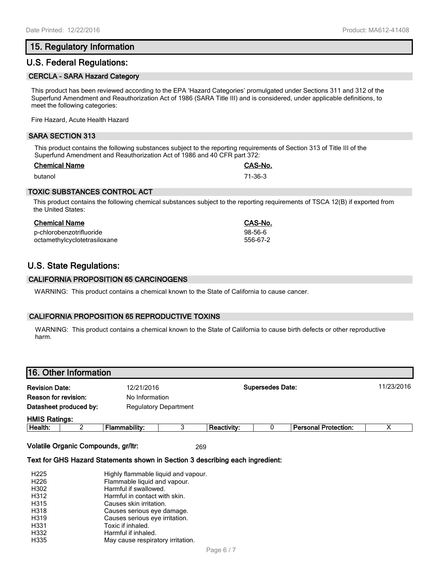## **15. Regulatory Information**

## **U.S. Federal Regulations:**

#### **CERCLA - SARA Hazard Category**

This product has been reviewed according to the EPA 'Hazard Categories' promulgated under Sections 311 and 312 of the Superfund Amendment and Reauthorization Act of 1986 (SARA Title III) and is considered, under applicable definitions, to meet the following categories:

Fire Hazard, Acute Health Hazard

#### **SARA SECTION 313**

This product contains the following substances subject to the reporting requirements of Section 313 of Title III of the Superfund Amendment and Reauthorization Act of 1986 and 40 CFR part 372:

#### **Chemical Name CAS-No.**

butanol 71-36-3

#### **TOXIC SUBSTANCES CONTROL ACT**

This product contains the following chemical substances subject to the reporting requirements of TSCA 12(B) if exported from the United States:

| Chemical Name                | CAS-No.   |
|------------------------------|-----------|
| p-chlorobenzotrifluoride     | $98-56-6$ |
| octamethylcyclotetrasiloxane | 556-67-2  |

## **U.S. State Regulations:**

#### **CALIFORNIA PROPOSITION 65 CARCINOGENS**

WARNING: This product contains a chemical known to the State of California to cause cancer.

### **CALIFORNIA PROPOSITION 65 REPRODUCTIVE TOXINS**

WARNING: This product contains a chemical known to the State of California to cause birth defects or other reproductive harm.

# **16. Other Information Revision Date:** 12/21/2016 **Supersedes Date:** 11/23/2016 **Reason for revision:** No Information **Datasheet produced by:** Regulatory Department **HMIS Ratings: Health:** 2 **Flammability:** 3 **Reactivity:** 0 **Personal Protection:** X

**Volatile Organic Compounds, gr/ltr:** 269

#### **Text for GHS Hazard Statements shown in Section 3 describing each ingredient:**

| H <sub>225</sub> | Highly flammable liquid and vapour. |
|------------------|-------------------------------------|
| H <sub>226</sub> | Flammable liquid and vapour.        |
| H302             | Harmful if swallowed.               |
| H312             | Harmful in contact with skin.       |
| H315             | Causes skin irritation.             |
| H318             | Causes serious eye damage.          |
| H319             | Causes serious eye irritation.      |
| H331             | Toxic if inhaled.                   |
| H332             | Harmful if inhaled.                 |
| H335             | May cause respiratory irritation.   |